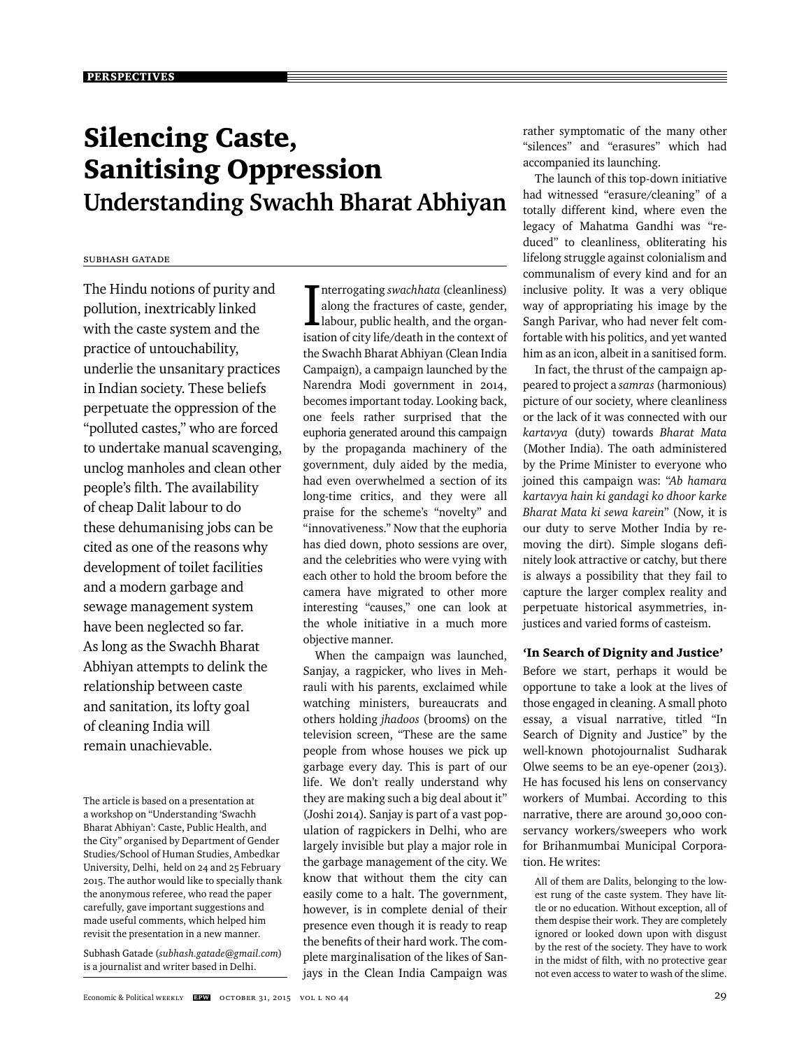# Silencing Caste, Sanitising Oppression **Understanding Swachh Bharat Abhiyan**

# Subhash Gatade

The Hindu notions of purity and pollution, inextricably linked with the caste system and the practice of untouchability, underlie the unsanitary practices in Indian society. These beliefs perpetuate the oppression of the "polluted castes," who are forced to undertake manual scavenging, unclog manholes and clean other people's filth. The availability of cheap Dalit labour to do these dehumanising jobs can be cited as one of the reasons why development of toilet facilities and a modern garbage and sewage management system have been neglected so far. As long as the Swachh Bharat Abhiyan attempts to delink the relationship between caste and sanitation, its lofty goal of cleaning India will remain unachievable.

Subhash Gatade (*subhash.gatade@gmail.com*) is a journalist and writer based in Delhi.

Interrogating *swachhata* (cleanliness)<br>along the fractures of caste, gender,<br>labour, public health, and the organisation of city life/death in the context of nterrogating *swachhata* (cleanliness) along the fractures of caste, gender, labour, public health, and the organthe Swachh Bharat Abhiyan (Clean India Campaign), a campaign launched by the Narendra Modi government in 2014, becomes important today. Looking back, one feels rather surprised that the euphoria generated around this campaign by the propaganda machinery of the government, duly aided by the media, had even overwhelmed a section of its long-time critics, and they were all praise for the scheme's "novelty" and "innovativeness." Now that the euphoria has died down, photo sessions are over, and the celebrities who were vying with each other to hold the broom before the camera have migrated to other more interesting "causes," one can look at the whole initiative in a much more objective manner.

When the campaign was launched, Sanjay, a ragpicker, who lives in Mehrauli with his parents, exclaimed while watching ministers, bureaucrats and others holding *jhadoos* (brooms) on the television screen, "These are the same people from whose houses we pick up garbage every day. This is part of our life. We don't really understand why they are making such a big deal about it" (Joshi 2014). Sanjay is part of a vast population of ragpickers in Delhi, who are largely invisible but play a major role in the garbage management of the city. We know that without them the city can easily come to a halt. The government, however, is in complete denial of their presence even though it is ready to reap the benefits of their hard work. The complete marginalisation of the likes of Sanjays in the Clean India Campaign was rather symptomatic of the many other "silences" and "erasures" which had accompanied its launching.

The launch of this top-down initiative had witnessed "erasure/cleaning" of a totally different kind, where even the legacy of Mahatma Gandhi was "reduced" to cleanliness, obliterating his lifelong struggle against colonialism and communalism of every kind and for an inclusive polity. It was a very oblique way of appropriating his image by the Sangh Parivar, who had never felt comfortable with his politics, and yet wanted him as an icon, albeit in a sanitised form.

In fact, the thrust of the campaign appeared to project a *samras* (harmonious) picture of our society, where cleanliness or the lack of it was connected with our *kartavya* (duty) towards *Bharat Mata*  (Mother India). The oath administered by the Prime Minister to everyone who joined this campaign was: "*Ab hamara kartavya hain ki gandagi ko dhoor karke Bharat Mata ki sewa karein*" (Now, it is our duty to serve Mother India by removing the dirt). Simple slogans definitely look attractive or catchy, but there is always a possibility that they fail to capture the larger complex reality and perpetuate historical asymmetries, injustices and varied forms of casteism.

#### 'In Search of Dignity and Justice'

Before we start, perhaps it would be opportune to take a look at the lives of those engaged in cleaning. A small photo essay, a visual narrative, titled "In Search of Dignity and Justice" by the well-known photojournalist Sudharak Olwe seems to be an eye-opener (2013). He has focused his lens on conservancy workers of Mumbai. According to this narrative, there are around 30,000 conservancy workers/sweepers who work for Brihanmumbai Municipal Corporation. He writes:

All of them are Dalits, belonging to the lowest rung of the caste system. They have little or no education. Without exception, all of them despise their work. They are completely ignored or looked down upon with disgust by the rest of the society. They have to work in the midst of filth, with no protective gear not even access to water to wash of the slime.

The article is based on a presentation at a workshop on "Understanding 'Swachh Bharat Abhiyan': Caste, Public Health, and the City" organised by Department of Gender Studies/School of Human Studies, Ambedkar University, Delhi, held on 24 and 25 February 2015. The author would like to specially thank the anonymous referee, who read the paper carefully, gave important suggestions and made useful comments, which helped him revisit the presentation in a new manner.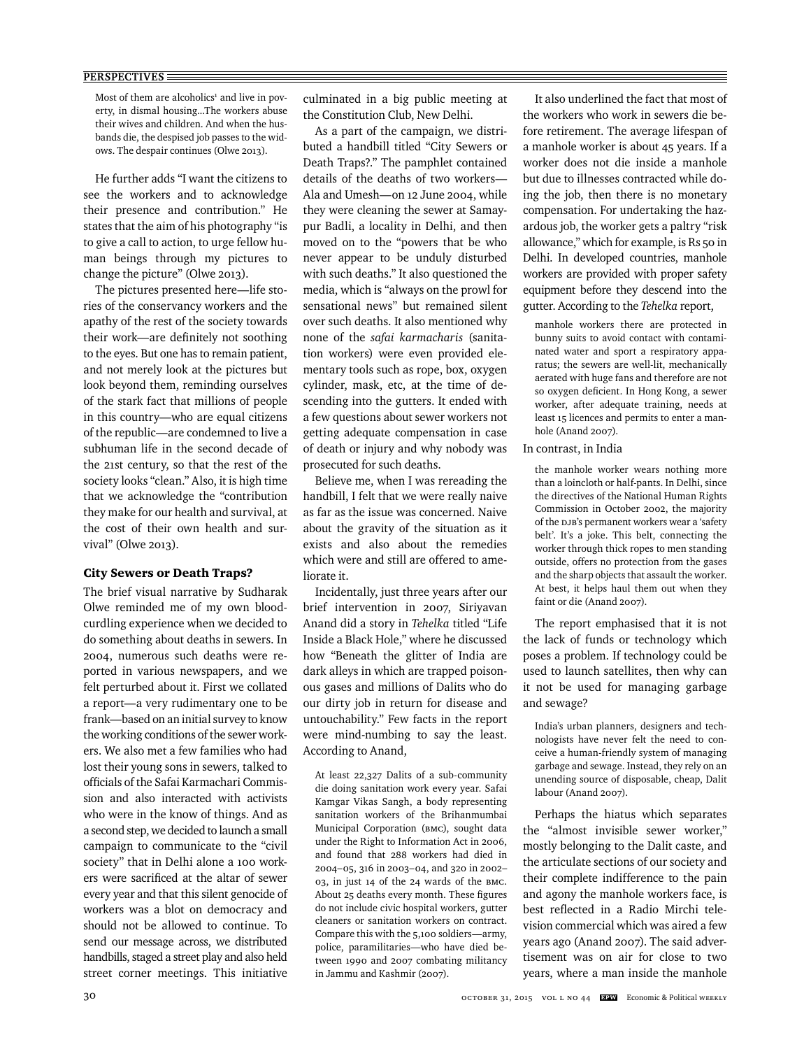Most of them are alcoholics<sup>1</sup> and live in poverty, in dismal housing...The workers abuse their wives and children. And when the husbands die, the despised job passes to the widows. The despair continues (Olwe 2013).

He further adds "I want the citizens to see the workers and to acknowledge their presence and contribution." He states that the aim of his photography "is to give a call to action, to urge fellow human beings through my pictures to change the picture" (Olwe 2013).

The pictures presented here—life stories of the conservancy workers and the apathy of the rest of the society towards their work—are definitely not soothing to the eyes. But one has to remain patient, and not merely look at the pictures but look beyond them, reminding ourselves of the stark fact that millions of people in this country—who are equal citizens of the republic—are condemned to live a subhuman life in the second decade of the 21st century, so that the rest of the society looks "clean." Also, it is high time that we acknowledge the "contribution they make for our health and survival, at the cost of their own health and survival" (Olwe 2013).

#### City Sewers or Death Traps?

The brief visual narrative by Sudharak Olwe reminded me of my own bloodcurdling experience when we decided to do something about deaths in sewers. In 2004, numerous such deaths were reported in various newspapers, and we felt perturbed about it. First we collated a report—a very rudimentary one to be frank—based on an initial survey to know the working conditions of the sewer workers. We also met a few families who had lost their young sons in sewers, talked to officials of the Safai Karmachari Commission and also interacted with activists who were in the know of things. And as a second step, we decided to launch a small campaign to communicate to the "civil society" that in Delhi alone a 100 workers were sacrificed at the altar of sewer every year and that this silent genocide of workers was a blot on democracy and should not be allowed to continue. To send our message across, we distributed handbills, staged a street play and also held street corner meetings. This initiative

culminated in a big public meeting at the Constitution Club, New Delhi.

As a part of the campaign, we distributed a handbill titled "City Sewers or Death Traps?." The pamphlet contained details of the deaths of two workers— Ala and Umesh—on 12 June 2004, while they were cleaning the sewer at Samaypur Badli, a locality in Delhi, and then moved on to the "powers that be who never appear to be unduly disturbed with such deaths." It also questioned the media, which is "always on the prowl for sensational news" but remained silent over such deaths. It also mentioned why none of the *safai karmacharis* (sanitation workers) were even provided elementary tools such as rope, box, oxygen cylinder, mask, etc, at the time of descending into the gutters. It ended with a few questions about sewer workers not getting adequate compensation in case of death or injury and why nobody was prosecuted for such deaths.

Believe me, when I was rereading the handbill, I felt that we were really naive as far as the issue was concerned. Naive about the gravity of the situation as it exists and also about the remedies which were and still are offered to ameliorate it.

Incidentally, just three years after our brief intervention in 2007, Siriyavan Anand did a story in *Tehelka* titled "Life Inside a Black Hole," where he discussed how "Beneath the glitter of India are dark alleys in which are trapped poisonous gases and millions of Dalits who do our dirty job in return for disease and untouchability." Few facts in the report were mind-numbing to say the least. According to Anand,

At least 22,327 Dalits of a sub-community die doing sanitation work every year. Safai Kamgar Vikas Sangh, a body representing sanitation workers of the Brihanmumbai Municipal Corporation (BMC), sought data under the Right to Information Act in 2006, and found that 288 workers had died in 2004–05, 316 in 2003–04, and 320 in 2002– 03, in just 14 of the 24 wards of the BMC. About 25 deaths every month. These figures do not include civic hospital workers, gutter cleaners or sanitation workers on contract. Compare this with the 5,100 soldiers—army, police, paramilitaries—who have died between 1990 and 2007 combating militancy in Jammu and Kashmir (2007).

It also underlined the fact that most of the workers who work in sewers die before retirement. The average lifespan of a manhole worker is about 45 years. If a worker does not die inside a manhole but due to illnesses contracted while doing the job, then there is no monetary compensation. For undertaking the hazardous job, the worker gets a paltry "risk allowance," which for example, is Rs 50 in Delhi. In developed countries, manhole workers are provided with proper safety equipment before they descend into the gutter. According to the *Tehelka* report,

manhole workers there are protected in bunny suits to avoid contact with contaminated water and sport a respiratory apparatus; the sewers are well-lit, mechanically aerated with huge fans and therefore are not so oxygen deficient. In Hong Kong, a sewer worker, after adequate training, needs at least 15 licences and permits to enter a manhole (Anand 2007).

#### In contrast, in India

the manhole worker wears nothing more than a loincloth or half-pants. In Delhi, since the directives of the National Human Rights Commission in October 2002, the majority of the DJB's permanent workers wear a 'safety belt'. It's a joke. This belt, connecting the worker through thick ropes to men standing outside, offers no protection from the gases and the sharp objects that assault the worker. At best, it helps haul them out when they faint or die (Anand 2007).

The report emphasised that it is not the lack of funds or technology which poses a problem. If technology could be used to launch satellites, then why can it not be used for managing garbage and sewage?

India's urban planners, designers and technologists have never felt the need to conceive a human-friendly system of managing garbage and sewage. Instead, they rely on an unending source of disposable, cheap, Dalit labour (Anand 2007).

Perhaps the hiatus which separates the "almost invisible sewer worker," mostly belonging to the Dalit caste, and the articulate sections of our society and their complete indifference to the pain and agony the manhole workers face, is best reflected in a Radio Mirchi television commercial which was aired a few years ago (Anand 2007). The said advertisement was on air for close to two years, where a man inside the manhole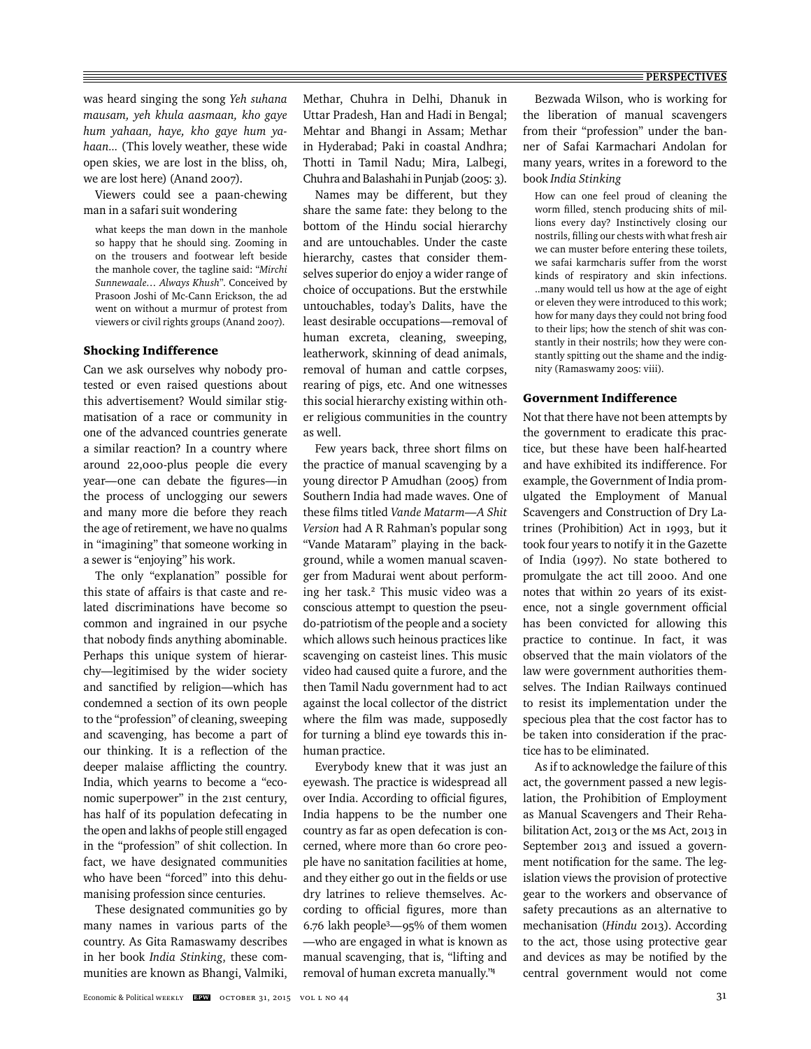was heard singing the song *Yeh suhana mausam, yeh khula aasmaan, kho gaye hum yahaan, haye, kho gaye hum yahaan...* (This lovely weather, these wide open skies, we are lost in the bliss, oh, we are lost here) (Anand 2007).

Viewers could see a paan-chewing man in a safari suit wondering

what keeps the man down in the manhole so happy that he should sing. Zooming in on the trousers and footwear left beside the manhole cover, the tagline said: "*Mirchi Sunnewaale… Always Khush*". Conceived by Prasoon Joshi of Mc-Cann Erickson, the ad went on without a murmur of protest from viewers or civil rights groups (Anand 2007).

# Shocking Indifference

Can we ask ourselves why nobody protested or even raised questions about this advertisement? Would similar stigmatisation of a race or community in one of the advanced countries generate a similar reaction? In a country where around 22,000-plus people die every year—one can debate the figures—in the process of unclogging our sewers and many more die before they reach the age of retirement, we have no qualms in "imagining" that someone working in a sewer is "enjoying" his work.

The only "explanation" possible for this state of affairs is that caste and related discriminations have become so common and ingrained in our psyche that nobody finds anything abominable. Perhaps this unique system of hierarchy—legitimised by the wider society and sanctified by religion—which has condemned a section of its own people to the "profession" of cleaning, sweeping and scavenging, has become a part of our thinking. It is a reflection of the deeper malaise afflicting the country. India, which yearns to become a "economic superpower" in the 21st century, has half of its population defecating in the open and lakhs of people still engaged in the "profession" of shit collection. In fact, we have designated communities who have been "forced" into this dehumanising profession since centuries.

These designated communities go by many names in various parts of the country. As Gita Ramaswamy describes in her book *India Stinking*, these communities are known as Bhangi, Valmiki,

Methar, Chuhra in Delhi, Dhanuk in Uttar Pradesh, Han and Hadi in Bengal; Mehtar and Bhangi in Assam; Methar in Hyderabad; Paki in coastal Andhra; Thotti in Tamil Nadu; Mira, Lalbegi, Chuhra and Balashahi in Punjab (2005: 3).

Names may be different, but they share the same fate: they belong to the bottom of the Hindu social hierarchy and are untouchables. Under the caste hierarchy, castes that consider themselves superior do enjoy a wider range of choice of occupations. But the erstwhile untouchables, today's Dalits, have the least desirable occupations—removal of human excreta, cleaning, sweeping, leatherwork, skinning of dead animals, removal of human and cattle corpses, rearing of pigs, etc. And one witnesses this social hierarchy existing within other religious communities in the country as well.

Few years back, three short films on the practice of manual scavenging by a young director P Amudhan (2005) from Southern India had made waves. One of these films titled *Vande Matarm—A Shit Version* had A R Rahman's popular song "Vande Mataram" playing in the background, while a women manual scavenger from Madurai went about performing her task.2 This music video was a conscious attempt to question the pseudo-patriotism of the people and a society which allows such heinous practices like scavenging on casteist lines. This music video had caused quite a furore, and the then Tamil Nadu government had to act against the local collector of the district where the film was made, supposedly for turning a blind eye towards this inhuman practice.

Everybody knew that it was just an eyewash. The practice is widespread all over India. According to official figures, India happens to be the number one country as far as open defecation is concerned, where more than 60 crore people have no sanitation facilities at home, and they either go out in the fields or use dry latrines to relieve themselves. According to official figures, more than 6.76 lakh people3—95% of them women —who are engaged in what is known as manual scavenging, that is, "lifting and removal of human excreta manually."4

Bezwada Wilson, who is working for the liberation of manual scavengers from their "profession" under the banner of Safai Karmachari Andolan for many years, writes in a foreword to the book *India Stinking*

How can one feel proud of cleaning the worm filled, stench producing shits of millions every day? Instinctively closing our nostrils, filling our chests with what fresh air we can muster before entering these toilets, we safai karmcharis suffer from the worst kinds of respiratory and skin infections. ..many would tell us how at the age of eight or eleven they were introduced to this work; how for many days they could not bring food to their lips; how the stench of shit was constantly in their nostrils; how they were constantly spitting out the shame and the indignity (Ramaswamy 2005: viii).

#### Government Indifference

Not that there have not been attempts by the government to eradicate this practice, but these have been half-hearted and have exhibited its indifference. For example, the Government of India promulgated the Employment of Manual Scavengers and Construction of Dry Latrines (Prohibition) Act in 1993, but it took four years to notify it in the Gazette of India (1997). No state bothered to promulgate the act till 2000. And one notes that within 20 years of its existence, not a single government official has been convicted for allowing this practice to continue. In fact, it was observed that the main violators of the law were government authorities themselves. The Indian Railways continued to resist its implementation under the specious plea that the cost factor has to be taken into consideration if the practice has to be eliminated.

As if to acknowledge the failure of this act, the government passed a new legislation, the Prohibition of Employment as Manual Scavengers and Their Rehabilitation Act, 2013 or the MS Act, 2013 in September 2013 and issued a government notification for the same. The legislation views the provision of protective gear to the workers and observance of safety precautions as an alternative to mechanisation (*Hindu* 2013). According to the act, those using protective gear and devices as may be notified by the central government would not come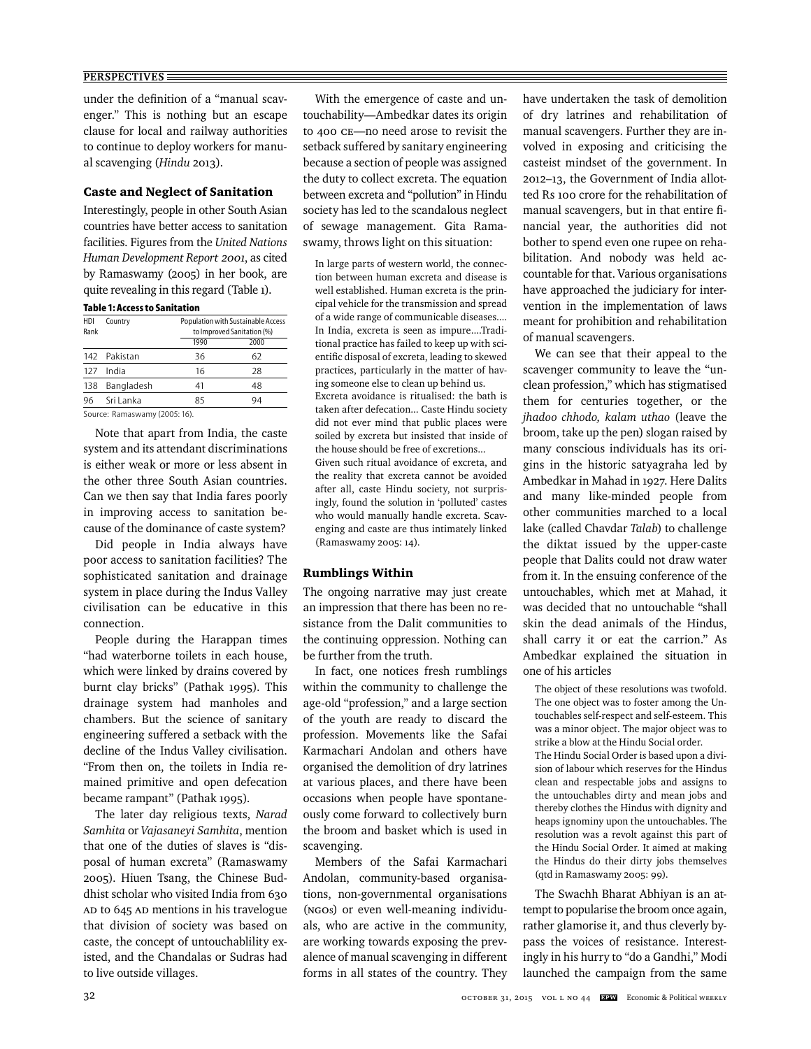under the definition of a "manual scavenger." This is nothing but an escape clause for local and railway authorities to continue to deploy workers for manual scavenging (*Hindu* 2013).

#### Caste and Neglect of Sanitation

Interestingly, people in other South Asian countries have better access to sanitation facilities. Figures from the *United Nations Human Development Report 2001*, as cited by Ramaswamy (2005) in her book, are quite revealing in this regard (Table 1).

#### **Table 1: Access to Sanitation**

| HDI<br>Rank | Country                       |      | Population with Sustainable Access<br>to Improved Sanitation (%) |  |
|-------------|-------------------------------|------|------------------------------------------------------------------|--|
|             |                               | 1990 | 2000                                                             |  |
|             | 142 Pakistan                  | 36   | 62                                                               |  |
| 127         | India                         | 16   | 28                                                               |  |
| 138         | Bangladesh                    | 41   | 48                                                               |  |
| 96          | Sri Lanka                     | 85   | 94                                                               |  |
|             | Source: Ramaswamy (2005: 16). |      |                                                                  |  |

Note that apart from India, the caste system and its attendant discriminations is either weak or more or less absent in the other three South Asian countries. Can we then say that India fares poorly in improving access to sanitation because of the dominance of caste system?

Did people in India always have poor access to sanitation facilities? The sophisticated sanitation and drainage system in place during the Indus Valley civilisation can be educative in this connection.

People during the Harappan times "had waterborne toilets in each house, which were linked by drains covered by burnt clay bricks" (Pathak 1995). This drainage system had manholes and chambers. But the science of sanitary engineering suffered a setback with the decline of the Indus Valley civilisation. "From then on, the toilets in India remained primitive and open defecation became rampant" (Pathak 1995).

The later day religious texts, *Narad Samhita* or *Vajasaneyi Samhita*, mention that one of the duties of slaves is "disposal of human excreta" (Ramaswamy 2005). Hiuen Tsang, the Chinese Buddhist scholar who visited India from 630 AD to 645 AD mentions in his travelogue that division of society was based on caste, the concept of untouchablility existed, and the Chandalas or Sudras had to live outside villages.

With the emergence of caste and untouchability—Ambedkar dates its origin to 400 CE—no need arose to revisit the setback suffered by sanitary engineering because a section of people was assigned the duty to collect excreta. The equation between excreta and "pollution" in Hindu society has led to the scandalous neglect of sewage management. Gita Ramaswamy, throws light on this situation:

In large parts of western world, the connection between human excreta and disease is well established. Human excreta is the principal vehicle for the transmission and spread of a wide range of communicable diseases.... In India, excreta is seen as impure....Traditional practice has failed to keep up with scientific disposal of excreta, leading to skewed practices, particularly in the matter of having someone else to clean up behind us. Excreta avoidance is ritualised: the bath is taken after defecation... Caste Hindu society did not ever mind that public places were soiled by excreta but insisted that inside of the house should be free of excretions... Given such ritual avoidance of excreta, and the reality that excreta cannot be avoided after all, caste Hindu society, not surprisingly, found the solution in 'polluted' castes who would manually handle excreta. Scavenging and caste are thus intimately linked (Ramaswamy 2005: 14).

# Rumblings Within

The ongoing narrative may just create an impression that there has been no resistance from the Dalit communities to the continuing oppression. Nothing can be further from the truth.

In fact, one notices fresh rumblings within the community to challenge the age-old "profession," and a large section of the youth are ready to discard the profession. Movements like the Safai Karmachari Andolan and others have organised the demolition of dry latrines at various places, and there have been occasions when people have spontaneously come forward to collectively burn the broom and basket which is used in scavenging.

Members of the Safai Karmachari Andolan, community-based organisations, non-governmental organisations (NGOs) or even well-meaning individuals, who are active in the community, are working towards exposing the prevalence of manual scavenging in different forms in all states of the country. They have undertaken the task of demolition of dry latrines and rehabilitation of manual scavengers. Further they are involved in exposing and criticising the casteist mindset of the government. In 2012–13, the Government of India allotted Rs 100 crore for the rehabilitation of manual scavengers, but in that entire financial year, the authorities did not bother to spend even one rupee on rehabilitation. And nobody was held accountable for that. Various organisations have approached the judiciary for intervention in the implementation of laws meant for prohibition and rehabilitation of manual scavengers.

We can see that their appeal to the scavenger community to leave the "unclean profession," which has stigmatised them for centuries together, or the *jhadoo chhodo, kalam uthao* (leave the broom, take up the pen) slogan raised by many conscious individuals has its origins in the historic satyagraha led by Ambedkar in Mahad in 1927. Here Dalits and many like-minded people from other communities marched to a local lake (called Chavdar *Talab*) to challenge the diktat issued by the upper-caste people that Dalits could not draw water from it. In the ensuing conference of the untouchables, which met at Mahad, it was decided that no untouchable "shall skin the dead animals of the Hindus, shall carry it or eat the carrion." As Ambedkar explained the situation in one of his articles

The object of these resolutions was twofold. The one object was to foster among the Untouchables self-respect and self-esteem. This was a minor object. The major object was to strike a blow at the Hindu Social order. The Hindu Social Order is based upon a division of labour which reserves for the Hindus clean and respectable jobs and assigns to the untouchables dirty and mean jobs and thereby clothes the Hindus with dignity and heaps ignominy upon the untouchables. The resolution was a revolt against this part of the Hindu Social Order. It aimed at making the Hindus do their dirty jobs themselves (qtd in Ramaswamy 2005: 99).

The Swachh Bharat Abhiyan is an attempt to popularise the broom once again, rather glamorise it, and thus cleverly bypass the voices of resistance. Interestingly in his hurry to "do a Gandhi," Modi launched the campaign from the same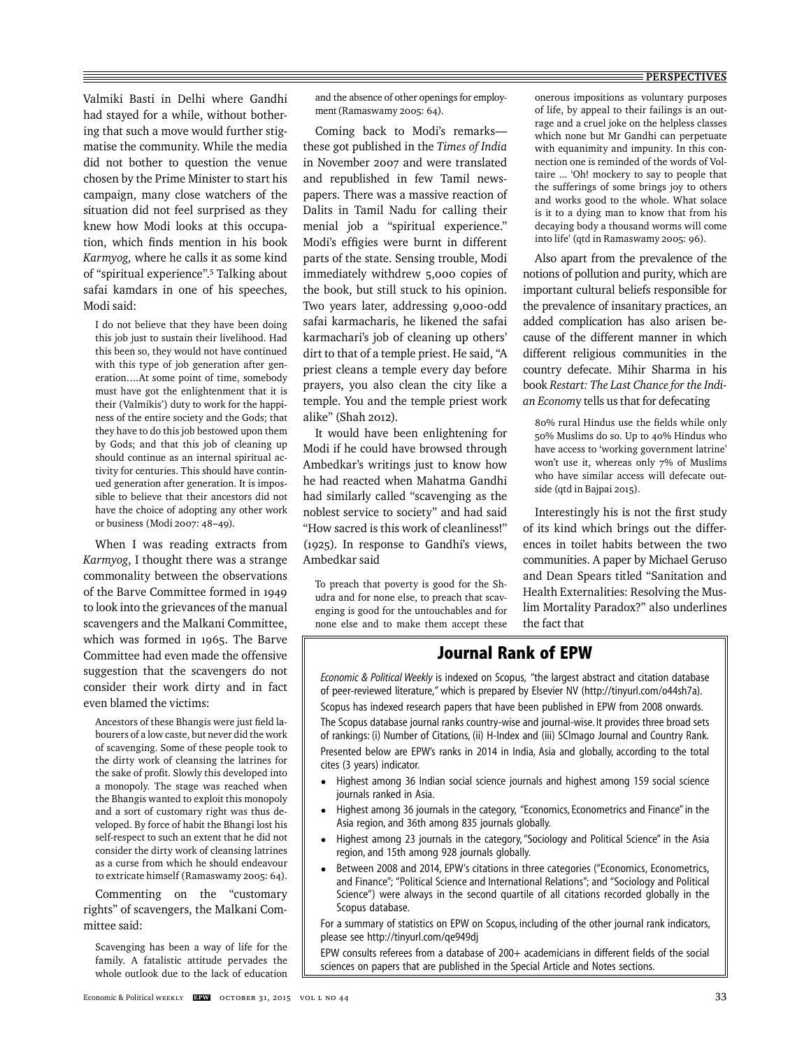Valmiki Basti in Delhi where Gandhi had stayed for a while, without bothering that such a move would further stigmatise the community. While the media did not bother to question the venue chosen by the Prime Minister to start his campaign, many close watchers of the situation did not feel surprised as they knew how Modi looks at this occupation, which finds mention in his book *Karmyog,* where he calls it as some kind of "spiritual experience".5 Talking about safai kamdars in one of his speeches, Modi said:

I do not believe that they have been doing this job just to sustain their livelihood. Had this been so, they would not have continued with this type of job generation after generation….At some point of time, somebody must have got the enlightenment that it is their (Valmikis') duty to work for the happiness of the entire society and the Gods; that they have to do this job bestowed upon them by Gods; and that this job of cleaning up should continue as an internal spiritual activity for centuries. This should have continued generation after generation. It is impossible to believe that their ancestors did not have the choice of adopting any other work or business (Modi 2007: 48–49).

When I was reading extracts from *Karmyog*, I thought there was a strange commonality between the observations of the Barve Committee formed in 1949 to look into the grievances of the manual scavengers and the Malkani Committee, which was formed in 1965. The Barve Committee had even made the offensive suggestion that the scavengers do not consider their work dirty and in fact even blamed the victims:

Ancestors of these Bhangis were just field labourers of a low caste, but never did the work of scavenging. Some of these people took to the dirty work of cleansing the latrines for the sake of profit. Slowly this developed into a monopoly. The stage was reached when the Bhangis wanted to exploit this monopoly and a sort of customary right was thus developed. By force of habit the Bhangi lost his self-respect to such an extent that he did not consider the dirty work of cleansing latrines as a curse from which he should endeavour to extricate himself (Ramaswamy 2005: 64).

Commenting on the "customary rights" of scavengers, the Malkani Committee said:

Scavenging has been a way of life for the family. A fatalistic attitude pervades the whole outlook due to the lack of education and the absence of other openings for employment (Ramaswamy 2005: 64).

Coming back to Modi's remarks these got published in the *Times of India* in November 2007 and were translated and republished in few Tamil newspapers. There was a massive reaction of Dalits in Tamil Nadu for calling their menial job a "spiritual experience." Modi's effigies were burnt in different parts of the state. Sensing trouble, Modi immediately withdrew 5,000 copies of the book, but still stuck to his opinion. Two years later, addressing 9,000-odd safai karmacharis, he likened the safai karmachari's job of cleaning up others' dirt to that of a temple priest. He said, "A priest cleans a temple every day before prayers, you also clean the city like a temple. You and the temple priest work alike" (Shah 2012).

It would have been enlightening for Modi if he could have browsed through Ambedkar's writings just to know how he had reacted when Mahatma Gandhi had similarly called "scavenging as the noblest service to society" and had said "How sacred is this work of cleanliness!" (1925). In response to Gandhi's views, Ambedkar said

To preach that poverty is good for the Shudra and for none else, to preach that scavenging is good for the untouchables and for none else and to make them accept these onerous impositions as voluntary purposes of life, by appeal to their failings is an outrage and a cruel joke on the helpless classes which none but Mr Gandhi can perpetuate with equanimity and impunity. In this connection one is reminded of the words of Voltaire ... 'Oh! mockery to say to people that the sufferings of some brings joy to others and works good to the whole. What solace is it to a dying man to know that from his decaying body a thousand worms will come into life' (qtd in Ramaswamy 2005: 96).

Also apart from the prevalence of the notions of pollution and purity, which are important cultural beliefs responsible for the prevalence of insanitary practices, an added complication has also arisen because of the different manner in which different religious communities in the country defecate. Mihir Sharma in his book *Restart: The Last Chance for the Indian Econom*y tells us that for defecating

80% rural Hindus use the fields while only 50% Muslims do so. Up to 40% Hindus who have access to 'working government latrine' won't use it, whereas only 7% of Muslims who have similar access will defecate outside (qtd in Bajpai 2015).

Interestingly his is not the first study of its kind which brings out the differences in toilet habits between the two communities. A paper by Michael Geruso and Dean Spears titled "Sanitation and Health Externalities: Resolving the Muslim Mortality Paradox?" also underlines the fact that

# **Journal Rank of EPW**

*Economic & Political Weekly* is indexed on Scopus, "the largest abstract and citation database of peer-reviewed literature," which is prepared by Elsevier NV (http://tinyurl.com/o44sh7a). Scopus has indexed research papers that have been published in EPW from 2008 onwards. The Scopus database journal ranks country-wise and journal-wise. It provides three broad sets of rankings: (i) Number of Citations, (ii) H-Index and (iii) SCImago Journal and Country Rank. Presented below are EPW's ranks in 2014 in India, Asia and globally, according to the total cites (3 years) indicator.

- Highest among 36 Indian social science journals and highest among 159 social science journals ranked in Asia.
- Highest among 36 journals in the category, "Economics, Econometrics and Finance" in the Asia region, and 36th among 835 journals globally.
- Highest among 23 journals in the category, "Sociology and Political Science" in the Asia region, and 15th among 928 journals globally.
- Between 2008 and 2014, EPW's citations in three categories ("Economics, Econometrics, and Finance"; "Political Science and International Relations"; and "Sociology and Political Science") were always in the second quartile of all citations recorded globally in the Scopus database.

For a summary of statistics on EPW on Scopus, including of the other journal rank indicators, please see http://tinyurl.com/qe949dj

EPW consults referees from a database of 200+ academicians in different fields of the social sciences on papers that are published in the Special Article and Notes sections.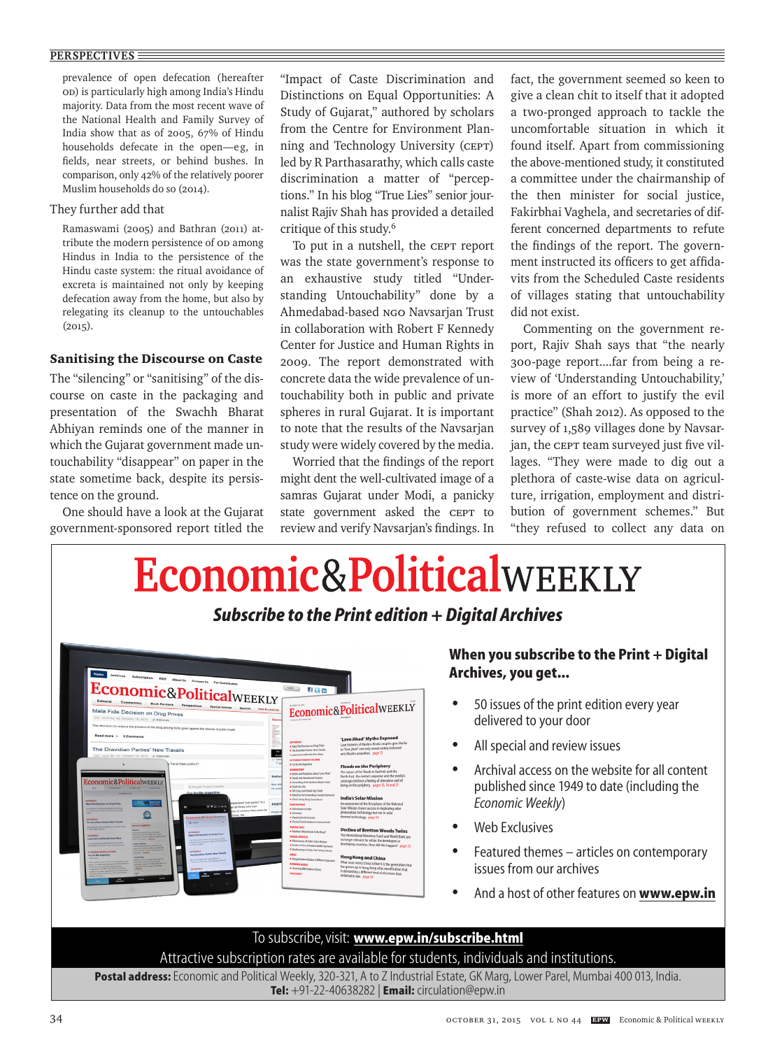prevalence of open defecation (hereafter OD) is particularly high among India's Hindu majority. Data from the most recent wave of the National Health and Family Survey of India show that as of 2005, 67% of Hindu households defecate in the open—eg, in fields, near streets, or behind bushes. In comparison, only 42% of the relatively poorer Muslim households do so (2014).

# They further add that

Ramaswami (2005) and Bathran (2011) attribute the modern persistence of OD among Hindus in India to the persistence of the Hindu caste system: the ritual avoidance of excreta is maintained not only by keeping defecation away from the home, but also by relegating its cleanup to the untouchables  $(2015)$ .

# Sanitising the Discourse on Caste

The "silencing" or "sanitising" of the discourse on caste in the packaging and presentation of the Swachh Bharat Abhiyan reminds one of the manner in which the Gujarat government made untouchability "disappear" on paper in the state sometime back, despite its persistence on the ground.

One should have a look at the Gujarat government-sponsored report titled the

"Impact of Caste Discrimination and Distinctions on Equal Opportunities: A Study of Gujarat," authored by scholars from the Centre for Environment Planning and Technology University (CEPT) led by R Parthasarathy, which calls caste discrimination a matter of "perceptions." In his blog "True Lies" senior journalist Rajiv Shah has provided a detailed critique of this study.6

To put in a nutshell, the CEPT report was the state government's response to an exhaustive study titled "Understanding Untouchability" done by a Ahmedabad-based NGO Navsarjan Trust in collaboration with Robert F Kennedy Center for Justice and Human Rights in 2009. The report demonstrated with concrete data the wide prevalence of untouchability both in public and private spheres in rural Gujarat. It is important to note that the results of the Navsarjan study were widely covered by the media.

Worried that the findings of the report might dent the well-cultivated image of a samras Gujarat under Modi, a panicky state government asked the CEPT to review and verify Navsarjan's findings. In fact, the government seemed so keen to give a clean chit to itself that it adopted a two-pronged approach to tackle the uncomfortable situation in which it found itself. Apart from commissioning the above-mentioned study, it constituted a committee under the chairmanship of the then minister for social justice, Fakirbhai Vaghela, and secretaries of different concerned departments to refute the findings of the report. The government instructed its officers to get affidavits from the Scheduled Caste residents of villages stating that untouchability did not exist.

Commenting on the government report, Rajiv Shah says that "the nearly 300-page report....far from being a review of 'Understanding Untouchability,' is more of an effort to justify the evil practice" (Shah 2012). As opposed to the survey of 1,589 villages done by Navsarjan, the CEPT team surveyed just five villages. "They were made to dig out a plethora of caste-wise data on agriculture, irrigation, employment and distribution of government schemes." But "they refused to collect any data on

# **APPOINTMENTS/PROGRAMMES/ANNOUNCEMENTS ADVERTISEMENTS**

*Subscribe to the Print edition + Digital Archives*



# **When you subscribe to the Print + Digital Archives, you get...**

- 50 issues of the print edition every year delivered to your door
- All special and review issues
- Archival access on the website for all content published since 1949 to date (including the *Economic Weekly*)
- Web Exclusives
- Featured themes articles on contemporary issues from our archives
- And a host of other features on **www.epw.in**

# To subscribe, visit: **www.epw.in/subscribe.html** Attractive subscription rates are available for students, individuals and institutions.

**Postal address:**Economic and Political Weekly, 320-321, A to Z Industrial Estate, GK Marg, Lower Parel, Mumbai 400 013, India. **Tel:** +91-22-40638282 | **Email:** circulation@epw.in